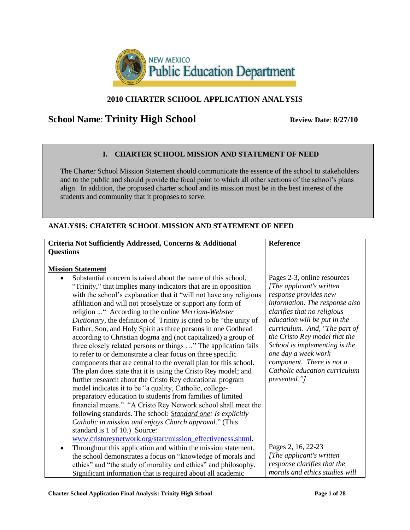

# **2010 CHARTER SCHOOL APPLICATION ANALYSIS**

# **School Name: Trinity High School** Review Date: 8/27/10

## **I. CHARTER SCHOOL MISSION AND STATEMENT OF NEED**

The Charter School Mission Statement should communicate the essence of the school to stakeholders and to the public and should provide the focal point to which all other sections of the school's plans align. In addition, the proposed charter school and its mission must be in the best interest of the students and community that it proposes to serve.

### **ANALYSIS: CHARTER SCHOOL MISSION AND STATEMENT OF NEED**

| Criteria Not Sufficiently Addressed, Concerns & Additional                                                                                                                                                                                                                                                                                                                                                                                                                                                                                                                                                                                                                                                                                                                                                                                                                                                                                                                                                                                                                                                                                                                                                                                                                                | Reference                                                                                                                                                                                                                                                                                                                                                                                  |
|-------------------------------------------------------------------------------------------------------------------------------------------------------------------------------------------------------------------------------------------------------------------------------------------------------------------------------------------------------------------------------------------------------------------------------------------------------------------------------------------------------------------------------------------------------------------------------------------------------------------------------------------------------------------------------------------------------------------------------------------------------------------------------------------------------------------------------------------------------------------------------------------------------------------------------------------------------------------------------------------------------------------------------------------------------------------------------------------------------------------------------------------------------------------------------------------------------------------------------------------------------------------------------------------|--------------------------------------------------------------------------------------------------------------------------------------------------------------------------------------------------------------------------------------------------------------------------------------------------------------------------------------------------------------------------------------------|
| <b>Questions</b>                                                                                                                                                                                                                                                                                                                                                                                                                                                                                                                                                                                                                                                                                                                                                                                                                                                                                                                                                                                                                                                                                                                                                                                                                                                                          |                                                                                                                                                                                                                                                                                                                                                                                            |
| <b>Mission Statement</b>                                                                                                                                                                                                                                                                                                                                                                                                                                                                                                                                                                                                                                                                                                                                                                                                                                                                                                                                                                                                                                                                                                                                                                                                                                                                  |                                                                                                                                                                                                                                                                                                                                                                                            |
| Substantial concern is raised about the name of this school,<br>"Trinity," that implies many indicators that are in opposition<br>with the school's explanation that it "will not have any religious<br>affiliation and will not proselytize or support any form of<br>religion  " According to the online Merriam-Webster<br>Dictionary, the definition of Trinity is cited to be "the unity of<br>Father, Son, and Holy Spirit as three persons in one Godhead<br>according to Christian dogma and (not capitalized) a group of<br>three closely related persons or things " The application fails<br>to refer to or demonstrate a clear focus on three specific<br>components that are central to the overall plan for this school.<br>The plan does state that it is using the Cristo Rey model; and<br>further research about the Cristo Rey educational program<br>model indicates it to be "a quality, Catholic, college-<br>preparatory education to students from families of limited<br>financial means." "A Cristo Rey Network school shall meet the<br>following standards. The school: Standard one: Is explicitly<br>Catholic in mission and enjoys Church approval." (This<br>standard is 1 of 10.) Source:<br>www.cristoreynetwork.org/start/mission_effectiveness.shtml. | Pages 2-3, online resources<br>[The applicant's written]<br>response provides new<br>information. The response also<br>clarifies that no religious<br>education will be put in the<br>curriculum. And, "The part of<br>the Cristo Rey model that the<br>School is implementing is the<br>one day a week work<br>component. There is not a<br>Catholic education curriculum<br>presented."] |
| Throughout this application and within the mission statement,<br>٠                                                                                                                                                                                                                                                                                                                                                                                                                                                                                                                                                                                                                                                                                                                                                                                                                                                                                                                                                                                                                                                                                                                                                                                                                        | Pages 2, 16, 22-23                                                                                                                                                                                                                                                                                                                                                                         |
| the school demonstrates a focus on "knowledge of morals and                                                                                                                                                                                                                                                                                                                                                                                                                                                                                                                                                                                                                                                                                                                                                                                                                                                                                                                                                                                                                                                                                                                                                                                                                               | [The applicant's written]                                                                                                                                                                                                                                                                                                                                                                  |
| ethics" and "the study of morality and ethics" and philosophy.                                                                                                                                                                                                                                                                                                                                                                                                                                                                                                                                                                                                                                                                                                                                                                                                                                                                                                                                                                                                                                                                                                                                                                                                                            | response clarifies that the                                                                                                                                                                                                                                                                                                                                                                |
| Significant information that is required about all academic                                                                                                                                                                                                                                                                                                                                                                                                                                                                                                                                                                                                                                                                                                                                                                                                                                                                                                                                                                                                                                                                                                                                                                                                                               | morals and ethics studies will                                                                                                                                                                                                                                                                                                                                                             |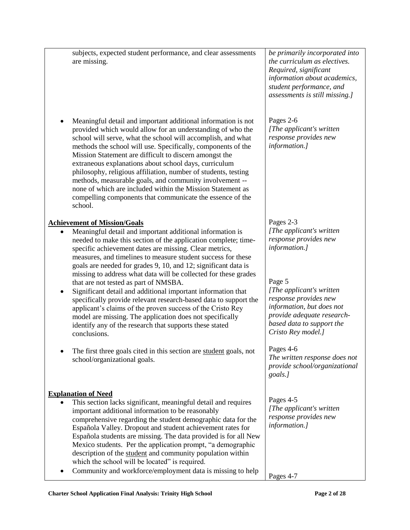subjects, expected student performance, and clear assessments are missing. Meaningful detail and important additional information is not provided which would allow for an understanding of who the school will serve, what the school will accomplish, and what methods the school will use. Specifically, components of the Mission Statement are difficult to discern amongst the extraneous explanations about school days, curriculum philosophy, religious affiliation, number of students, testing methods, measurable goals, and community involvement - none of which are included within the Mission Statement as compelling components that communicate the essence of the school. **Achievement of Mission/Goals** Meaningful detail and important additional information is needed to make this section of the application complete; timespecific achievement dates are missing. Clear metrics, measures, and timelines to measure student success for these goals are needed for grades 9, 10, and 12; significant data is missing to address what data will be collected for these grades that are not tested as part of NMSBA. Significant detail and additional important information that specifically provide relevant research-based data to support the applicant's claims of the proven success of the Cristo Rey model are missing. The application does not specifically identify any of the research that supports these stated conclusions. The first three goals cited in this section are student goals, not school/organizational goals. **Explanation of Need** This section lacks significant, meaningful detail and requires important additional information to be reasonably comprehensive regarding the student demographic data for the Española Valley. Dropout and student achievement rates for Española students are missing. The data provided is for all New Mexico students. Per the application prompt, "a demographic description of the student and community population within which the school will be located" is required. • Community and workforce/employment data is missing to help *be primarily incorporated into the curriculum as electives. Required, significant information about academics, student performance, and assessments is still missing.]* Pages 2-6 *[The applicant's written response provides new information.]*  Pages 2-3 *[The applicant's written response provides new information.]*  Page 5 *[The applicant's written response provides new information, but does not provide adequate researchbased data to support the Cristo Rey model.]*  Pages 4-6 *The written response does not provide school/organizational goals.]* Pages 4-5 *[The applicant's written response provides new information.]* Pages 4-7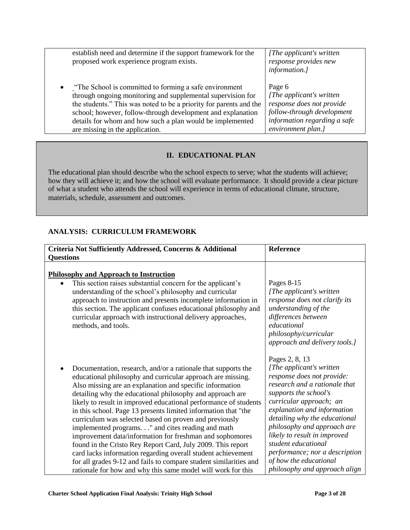| establish need and determine if the support framework for the<br>proposed work experience program exists. | [The applicant's written]<br>response provides new<br>information.] |
|-----------------------------------------------------------------------------------------------------------|---------------------------------------------------------------------|
| . The School is committed to forming a safe environment                                                   | Page 6                                                              |
| through ongoing monitoring and supplemental supervision for                                               | [The applicant's written]                                           |
| the students." This was noted to be a priority for parents and the                                        | response does not provide                                           |
| school; however, follow-through development and explanation                                               | follow-through development                                          |
| details for whom and how such a plan would be implemented                                                 | information regarding a safe                                        |
| are missing in the application.                                                                           | environment plan.]                                                  |

## **II. EDUCATIONAL PLAN**

The educational plan should describe who the school expects to serve; what the students will achieve; how they will achieve it; and how the school will evaluate performance. It should provide a clear picture of what a student who attends the school will experience in terms of educational climate, structure, materials, schedule, assessment and outcomes.

### **ANALYSIS: CURRICULUM FRAMEWORK**

| Criteria Not Sufficiently Addressed, Concerns & Additional<br><b>Questions</b>                                                                                                                                                                                                                                                                                                                                                                                                                                                                                                                                                                                                                                                                                                                                                                          | Reference                                                                                                                                                                                                                                                                                                                                                                                                         |
|---------------------------------------------------------------------------------------------------------------------------------------------------------------------------------------------------------------------------------------------------------------------------------------------------------------------------------------------------------------------------------------------------------------------------------------------------------------------------------------------------------------------------------------------------------------------------------------------------------------------------------------------------------------------------------------------------------------------------------------------------------------------------------------------------------------------------------------------------------|-------------------------------------------------------------------------------------------------------------------------------------------------------------------------------------------------------------------------------------------------------------------------------------------------------------------------------------------------------------------------------------------------------------------|
| <b>Philosophy and Approach to Instruction</b><br>This section raises substantial concern for the applicant's<br>understanding of the school's philosophy and curricular<br>approach to instruction and presents incomplete information in<br>this section. The applicant confuses educational philosophy and<br>curricular approach with instructional delivery approaches,<br>methods, and tools.                                                                                                                                                                                                                                                                                                                                                                                                                                                      | Pages 8-15<br>[The applicant's written]<br>response does not clarify its<br>understanding of the<br>differences between<br>educational<br>philosophy/curricular<br>approach and delivery tools.]                                                                                                                                                                                                                  |
| Documentation, research, and/or a rationale that supports the<br>$\bullet$<br>educational philosophy and curricular approach are missing.<br>Also missing are an explanation and specific information<br>detailing why the educational philosophy and approach are<br>likely to result in improved educational performance of students<br>in this school. Page 13 presents limited information that "the<br>curriculum was selected based on proven and previously<br>implemented programs." and cites reading and math<br>improvement data/information for freshman and sophomores<br>found in the Cristo Rey Report Card, July 2009. This report<br>card lacks information regarding overall student achievement<br>for all grades 9-12 and fails to compare student similarities and<br>rationale for how and why this same model will work for this | Pages 2, 8, 13<br>[The applicant's written]<br>response does not provide:<br>research and a rationale that<br>supports the school's<br>curricular approach; an<br>explanation and information<br>detailing why the educational<br>philosophy and approach are<br>likely to result in improved<br>student educational<br>performance; nor a description<br>of how the educational<br>philosophy and approach align |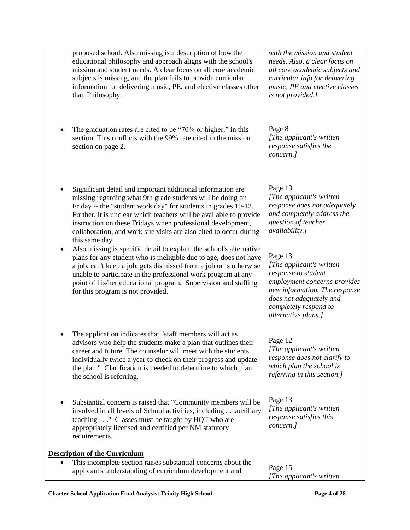| proposed school. Also missing is a description of how the<br>educational philosophy and approach aligns with the school's<br>mission and student needs. A clear focus on all core academic<br>subjects is missing, and the plan fails to provide curricular<br>information for delivering music, PE, and elective classes other<br>than Philosophy.                                                                      | with the mission and student<br>needs. Also, a clear focus on<br>all core academic subjects and<br>curricular info for delivering<br>music, PE and elective classes<br>is not provided.]                |
|--------------------------------------------------------------------------------------------------------------------------------------------------------------------------------------------------------------------------------------------------------------------------------------------------------------------------------------------------------------------------------------------------------------------------|---------------------------------------------------------------------------------------------------------------------------------------------------------------------------------------------------------|
| The graduation rates are cited to be "70% or higher." in this<br>section. This conflicts with the 99% rate cited in the mission<br>section on page 2.                                                                                                                                                                                                                                                                    | Page 8<br>[The applicant's written]<br>response satisfies the<br>concern.]                                                                                                                              |
| Significant detail and important additional information are<br>missing regarding what 9th grade students will be doing on<br>Friday -- the "student work day" for students in grades 10-12.<br>Further, it is unclear which teachers will be available to provide<br>instruction on these Fridays when professional development,<br>collaboration, and work site visits are also cited to occur during<br>this same day. | Page 13<br>[The applicant's written]<br>response does not adequately<br>and completely address the<br>question of teacher<br>availability.]                                                             |
| Also missing is specific detail to explain the school's alternative<br>plans for any student who is ineligible due to age, does not have<br>a job, can't keep a job, gets dismissed from a job or is otherwise<br>unable to participate in the professional work program at any<br>point of his/her educational program. Supervision and staffing<br>for this program is not provided.                                   | Page 13<br>[The applicant's written]<br>response to student<br>employment concerns provides<br>new information. The response<br>does not adequately and<br>completely respond to<br>alternative plans.] |
| The application indicates that "staff members will act as<br>advisors who help the students make a plan that outlines their<br>career and future. The counselor will meet with the students<br>individually twice a year to check on their progress and update<br>the plan." Clarification is needed to determine to which plan<br>the school is referring.                                                              | Page 12<br>[The applicant's written<br>response does not clarify to<br>which plan the school is<br>referring in this section.]                                                                          |
| Substantial concern is raised that "Community members will be<br>involved in all levels of School activities, including auxiliary<br>teaching " Classes must be taught by HQT who are<br>appropriately licensed and certified per NM statutory<br>requirements.                                                                                                                                                          | Page 13<br>[The applicant's written]<br>response satisfies this<br>concern.]                                                                                                                            |
| <b>Description of the Curriculum</b><br>This incomplete section raises substantial concerns about the<br>applicant's understanding of curriculum development and                                                                                                                                                                                                                                                         | Page 15<br>[The applicant's written                                                                                                                                                                     |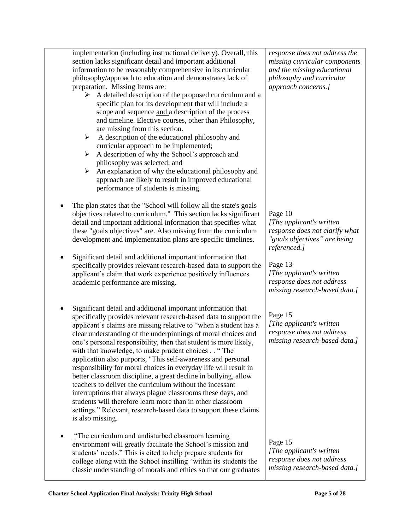| implementation (including instructional delivery). Overall, this<br>section lacks significant detail and important additional<br>information to be reasonably comprehensive in its curricular<br>philosophy/approach to education and demonstrates lack of<br>preparation. Missing Items are:<br>$\triangleright$ A detailed description of the proposed curriculum and a<br>specific plan for its development that will include a<br>scope and sequence and a description of the process<br>and timeline. Elective courses, other than Philosophy,<br>are missing from this section.<br>A description of the educational philosophy and<br>$\blacktriangleright$<br>curricular approach to be implemented;<br>A description of why the School's approach and<br>➤<br>philosophy was selected; and<br>An explanation of why the educational philosophy and<br>➤<br>approach are likely to result in improved educational<br>performance of students is missing. | response does not address the<br>missing curricular components<br>and the missing educational<br>philosophy and curricular<br>approach concerns.]                                                                            |
|-----------------------------------------------------------------------------------------------------------------------------------------------------------------------------------------------------------------------------------------------------------------------------------------------------------------------------------------------------------------------------------------------------------------------------------------------------------------------------------------------------------------------------------------------------------------------------------------------------------------------------------------------------------------------------------------------------------------------------------------------------------------------------------------------------------------------------------------------------------------------------------------------------------------------------------------------------------------|------------------------------------------------------------------------------------------------------------------------------------------------------------------------------------------------------------------------------|
| The plan states that the "School will follow all the state's goals<br>objectives related to curriculum." This section lacks significant<br>detail and important additional information that specifies what<br>these "goals objectives" are. Also missing from the curriculum<br>development and implementation plans are specific timelines.<br>Significant detail and additional important information that<br>specifically provides relevant research-based data to support the<br>applicant's claim that work experience positively influences<br>academic performance are missing.                                                                                                                                                                                                                                                                                                                                                                          | Page 10<br>[The applicant's written]<br>response does not clarify what<br>"goals objectives" are being<br>referenced.]<br>Page 13<br>[The applicant's written]<br>response does not address<br>missing research-based data.] |
| Significant detail and additional important information that<br>٠<br>specifically provides relevant research-based data to support the<br>applicant's claims are missing relative to "when a student has a<br>clear understanding of the underpinnings of moral choices and<br>one's personal responsibility, then that student is more likely,<br>with that knowledge, to make prudent choices " The<br>application also purports, "This self-awareness and personal<br>responsibility for moral choices in everyday life will result in<br>better classroom discipline, a great decline in bullying, allow<br>teachers to deliver the curriculum without the incessant<br>interruptions that always plague classrooms these days, and<br>students will therefore learn more than in other classroom<br>settings." Relevant, research-based data to support these claims<br>is also missing.                                                                   | Page 15<br>[The applicant's written<br>response does not address<br>missing research-based data.]                                                                                                                            |
| "The curriculum and undisturbed classroom learning<br>environment will greatly facilitate the School's mission and<br>students' needs." This is cited to help prepare students for<br>college along with the School instilling "within its students the<br>classic understanding of morals and ethics so that our graduates                                                                                                                                                                                                                                                                                                                                                                                                                                                                                                                                                                                                                                     | Page 15<br>[The applicant's written]<br>response does not address<br>missing research-based data.]                                                                                                                           |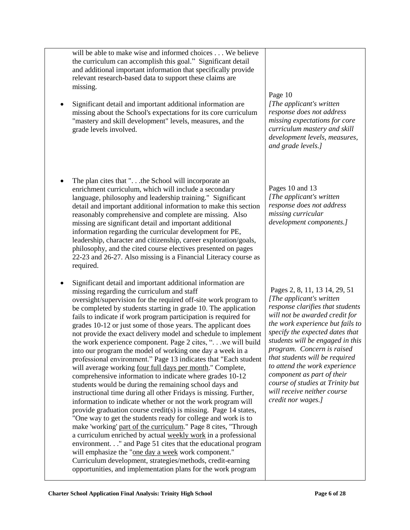will be able to make wise and informed choices . . . We believe the curriculum can accomplish this goal." Significant detail and additional important information that specifically provide relevant research-based data to support these claims are missing.

- Significant detail and important additional information are missing about the School's expectations for its core curriculum "mastery and skill development" levels, measures, and the grade levels involved.
- The plan cites that ". . .the School will incorporate an enrichment curriculum, which will include a secondary language, philosophy and leadership training." Significant detail and important additional information to make this section reasonably comprehensive and complete are missing. Also missing are significant detail and important additional information regarding the curricular development for PE, leadership, character and citizenship, career exploration/goals, philosophy, and the cited course electives presented on pages 22-23 and 26-27. Also missing is a Financial Literacy course as required.
- Significant detail and important additional information are missing regarding the curriculum and staff oversight/supervision for the required off-site work program to be completed by students starting in grade 10. The application fails to indicate if work program participation is required for grades 10-12 or just some of those years. The applicant does not provide the exact delivery model and schedule to implement the work experience component. Page 2 cites, ". . .we will build into our program the model of working one day a week in a professional environment." Page 13 indicates that "Each student will average working four full days per month." Complete, comprehensive information to indicate where grades 10-12 students would be during the remaining school days and instructional time during all other Fridays is missing. Further, information to indicate whether or not the work program will provide graduation course credit(s) is missing. Page 14 states, "One way to get the students ready for college and work is to make 'working' part of the curriculum." Page 8 cites, "Through a curriculum enriched by actual weekly work in a professional environment. . ." and Page 51 cites that the educational program will emphasize the "one day a week work component." Curriculum development, strategies/methods, credit-earning opportunities, and implementation plans for the work program

### Page 10

*[The applicant's written response does not address missing expectations for core curriculum mastery and skill development levels, measures, and grade levels.]*

Pages 10 and 13 *[The applicant's written response does not address missing curricular development components.]*

Pages 2, 8, 11, 13 14, 29, 51 *[The applicant's written response clarifies that students will not be awarded credit for the work experience but fails to specify the expected dates that students will be engaged in this program. Concern is raised that students will be required to attend the work experience component as part of their course of studies at Trinity but will receive neither course credit nor wages.]*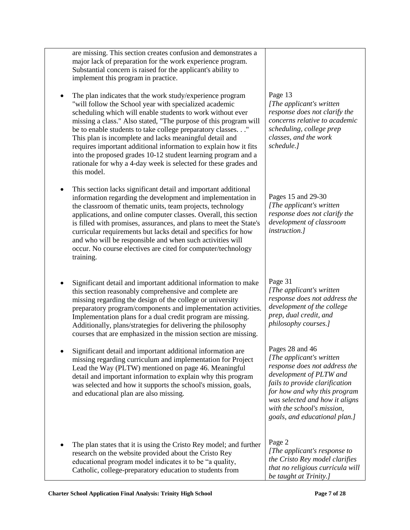|   | are missing. This section creates confusion and demonstrates a<br>major lack of preparation for the work experience program.<br>Substantial concern is raised for the applicant's ability to<br>implement this program in practice.                                                                                                                                                                                                                                                                                                                                                                    |                                                                                                                                                                                                                                                                             |
|---|--------------------------------------------------------------------------------------------------------------------------------------------------------------------------------------------------------------------------------------------------------------------------------------------------------------------------------------------------------------------------------------------------------------------------------------------------------------------------------------------------------------------------------------------------------------------------------------------------------|-----------------------------------------------------------------------------------------------------------------------------------------------------------------------------------------------------------------------------------------------------------------------------|
| ٠ | The plan indicates that the work study/experience program<br>"will follow the School year with specialized academic<br>scheduling which will enable students to work without ever<br>missing a class." Also stated, "The purpose of this program will<br>be to enable students to take college preparatory classes."<br>This plan is incomplete and lacks meaningful detail and<br>requires important additional information to explain how it fits<br>into the proposed grades 10-12 student learning program and a<br>rationale for why a 4-day week is selected for these grades and<br>this model. | Page 13<br>[The applicant's written]<br>response does not clarify the<br>concerns relative to academic<br>scheduling, college prep<br>classes, and the work<br>schedule.]                                                                                                   |
|   | This section lacks significant detail and important additional<br>information regarding the development and implementation in<br>the classroom of thematic units, team projects, technology<br>applications, and online computer classes. Overall, this section<br>is filled with promises, assurances, and plans to meet the State's<br>curricular requirements but lacks detail and specifics for how<br>and who will be responsible and when such activities will<br>occur. No course electives are cited for computer/technology<br>training.                                                      | Pages 15 and 29-30<br>[The applicant's written]<br>response does not clarify the<br>development of classroom<br><i>instruction.]</i>                                                                                                                                        |
| ٠ | Significant detail and important additional information to make<br>this section reasonably comprehensive and complete are<br>missing regarding the design of the college or university<br>preparatory program/components and implementation activities.<br>Implementation plans for a dual credit program are missing.<br>Additionally, plans/strategies for delivering the philosophy<br>courses that are emphasized in the mission section are missing.                                                                                                                                              | Page 31<br>[The applicant's written]<br>response does not address the<br>development of the college<br>prep, dual credit, and<br>philosophy courses.]                                                                                                                       |
|   | Significant detail and important additional information are<br>missing regarding curriculum and implementation for Project<br>Lead the Way (PLTW) mentioned on page 46. Meaningful<br>detail and important information to explain why this program<br>was selected and how it supports the school's mission, goals,<br>and educational plan are also missing.                                                                                                                                                                                                                                          | Pages 28 and 46<br>[The applicant's written]<br>response does not address the<br>development of PLTW and<br>fails to provide clarification<br>for how and why this program<br>was selected and how it aligns<br>with the school's mission,<br>goals, and educational plan.] |
|   | The plan states that it is using the Cristo Rey model; and further<br>research on the website provided about the Cristo Rey<br>educational program model indicates it to be "a quality,<br>Catholic, college-preparatory education to students from                                                                                                                                                                                                                                                                                                                                                    | Page 2<br>[The applicant's response to<br>the Cristo Rey model clarifies<br>that no religious curricula will<br>be taught at Trinity.]                                                                                                                                      |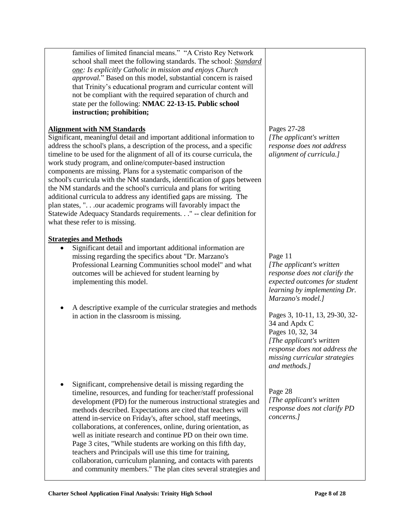| families of limited financial means." "A Cristo Rey Network<br>school shall meet the following standards. The school: Standard<br>one: Is explicitly Catholic in mission and enjoys Church<br>approval." Based on this model, substantial concern is raised<br>that Trinity's educational program and curricular content will<br>not be compliant with the required separation of church and<br>state per the following: NMAC 22-13-15. Public school<br>instruction; prohibition;<br><b>Alignment with NM Standards</b><br>Significant, meaningful detail and important additional information to<br>address the school's plans, a description of the process, and a specific<br>timeline to be used for the alignment of all of its course curricula, the<br>work study program, and online/computer-based instruction<br>components are missing. Plans for a systematic comparison of the<br>school's curricula with the NM standards, identification of gaps between<br>the NM standards and the school's curricula and plans for writing<br>additional curricula to address any identified gaps are missing. The<br>plan states, ".our academic programs will favorably impact the<br>Statewide Adequacy Standards requirements." -- clear definition for<br>what these refer to is missing. | Pages 27-28<br>[The applicant's written]<br>response does not address<br>alignment of curricula.]                                                                                                                                                                                                                                                  |
|---------------------------------------------------------------------------------------------------------------------------------------------------------------------------------------------------------------------------------------------------------------------------------------------------------------------------------------------------------------------------------------------------------------------------------------------------------------------------------------------------------------------------------------------------------------------------------------------------------------------------------------------------------------------------------------------------------------------------------------------------------------------------------------------------------------------------------------------------------------------------------------------------------------------------------------------------------------------------------------------------------------------------------------------------------------------------------------------------------------------------------------------------------------------------------------------------------------------------------------------------------------------------------------------------|----------------------------------------------------------------------------------------------------------------------------------------------------------------------------------------------------------------------------------------------------------------------------------------------------------------------------------------------------|
| <b>Strategies and Methods</b><br>Significant detail and important additional information are<br>missing regarding the specifics about "Dr. Marzano's<br>Professional Learning Communities school model" and what<br>outcomes will be achieved for student learning by<br>implementing this model.<br>A descriptive example of the curricular strategies and methods<br>in action in the classroom is missing.                                                                                                                                                                                                                                                                                                                                                                                                                                                                                                                                                                                                                                                                                                                                                                                                                                                                                     | Page 11<br>[The applicant's written]<br>response does not clarify the<br>expected outcomes for student<br>learning by implementing Dr.<br>Marzano's model.]<br>Pages 3, 10-11, 13, 29-30, 32-<br>34 and Apdx C<br>Pages 10, 32, 34<br>[The applicant's written]<br>response does not address the<br>missing curricular strategies<br>and methods.] |
| Significant, comprehensive detail is missing regarding the<br>٠<br>timeline, resources, and funding for teacher/staff professional<br>development (PD) for the numerous instructional strategies and<br>methods described. Expectations are cited that teachers will<br>attend in-service on Friday's, after school, staff meetings,<br>collaborations, at conferences, online, during orientation, as<br>well as initiate research and continue PD on their own time.<br>Page 3 cites, "While students are working on this fifth day,<br>teachers and Principals will use this time for training,<br>collaboration, curriculum planning, and contacts with parents<br>and community members." The plan cites several strategies and                                                                                                                                                                                                                                                                                                                                                                                                                                                                                                                                                              | Page 28<br>[The applicant's written]<br>response does not clarify PD<br>concerns.]                                                                                                                                                                                                                                                                 |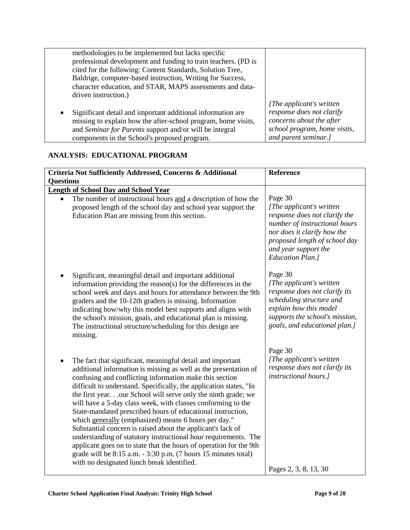| driven instruction.) | methodologies to be implemented but lacks specific<br>professional development and funding to train teachers. (PD is<br>cited for the following: Content Standards, Solution Tree,<br>Baldrige, computer-based instruction, Writing for Success,<br>character education, and STAR, MAPS assessments and data- |                                                                                                                                            |
|----------------------|---------------------------------------------------------------------------------------------------------------------------------------------------------------------------------------------------------------------------------------------------------------------------------------------------------------|--------------------------------------------------------------------------------------------------------------------------------------------|
| $\bullet$            | Significant detail and important additional information are<br>missing to explain how the after-school program, home visits,<br>and Seminar for Parents support and/or will be integral<br>components in the School's proposed program.                                                                       | [The applicant's written]<br>response does not clarify<br>concerns about the after<br>school program, home visits,<br>and parent seminar.] |

# **ANALYSIS: EDUCATIONAL PROGRAM**

| Criteria Not Sufficiently Addressed, Concerns & Additional                                                                                                                                                                                                                                                                                                                                                                                                                                                                                                                                                                                                                                                                                                                                                                                      | <b>Reference</b>                                                                                                                                                                                                           |  |  |
|-------------------------------------------------------------------------------------------------------------------------------------------------------------------------------------------------------------------------------------------------------------------------------------------------------------------------------------------------------------------------------------------------------------------------------------------------------------------------------------------------------------------------------------------------------------------------------------------------------------------------------------------------------------------------------------------------------------------------------------------------------------------------------------------------------------------------------------------------|----------------------------------------------------------------------------------------------------------------------------------------------------------------------------------------------------------------------------|--|--|
| <b>Questions</b>                                                                                                                                                                                                                                                                                                                                                                                                                                                                                                                                                                                                                                                                                                                                                                                                                                |                                                                                                                                                                                                                            |  |  |
| <b>Length of School Day and School Year</b><br>The number of instructional hours and a description of how the<br>proposed length of the school day and school year support the<br>Education Plan are missing from this section.                                                                                                                                                                                                                                                                                                                                                                                                                                                                                                                                                                                                                 | Page 30<br>[The applicant's written]<br>response does not clarify the<br>number of instructional hours<br>nor does it clarify how the<br>proposed length of school day<br>and year support the<br><b>Education Plan.</b> ] |  |  |
| Significant, meaningful detail and important additional<br>٠<br>information providing the reason(s) for the differences in the<br>school week and days and hours for attendance between the 9th<br>graders and the 10-12th graders is missing. Information<br>indicating how/why this model best supports and aligns with<br>the school's mission, goals, and educational plan is missing.<br>The instructional structure/scheduling for this design are<br>missing.                                                                                                                                                                                                                                                                                                                                                                            | Page 30<br>[The applicant's written]<br>response does not clarify its<br>scheduling structure and<br>explain how this model<br>supports the school's mission,<br>goals, and educational plan.]                             |  |  |
| The fact that significant, meaningful detail and important<br>additional information is missing as well as the presentation of<br>confusing and conflicting information make this section<br>difficult to understand. Specifically, the application states, "In<br>the first year our School will serve only the ninth grade; we<br>will have a 5-day class week, with classes conforming to the<br>State-mandated prescribed hours of educational instruction,<br>which generally (emphasized) means 6 hours per day."<br>Substantial concern is raised about the applicant's lack of<br>understanding of statutory instructional hour requirements. The<br>applicant goes on to state that the hours of operation for the 9th<br>grade will be 8:15 a.m. - 3:30 p.m. (7 hours 15 minutes total)<br>with no designated lunch break identified. | Page 30<br>[The applicant's written]<br>response does not clarify its<br><i>instructional hours.]</i><br>Pages 2, 3, 8, 13, 30                                                                                             |  |  |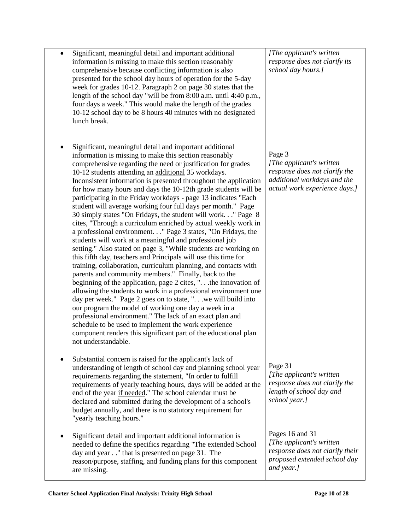| comprehensive because conflicting information is also<br>presented for the school day hours of operation for the 5-day<br>week for grades 10-12. Paragraph 2 on page 30 states that the<br>length of the school day "will be from 8:00 a.m. until 4:40 p.m.,<br>four days a week." This would make the length of the grades<br>10-12 school day to be 8 hours 40 minutes with no designated<br>lunch break.                                                                                                                                                                                                                                                                                                                                                                                                                                                                                                                                                                                                                                                                                                                                                                                                                                                                                                                                                                                                                                                                                                               | school day hours.]                                                                                                                   |
|---------------------------------------------------------------------------------------------------------------------------------------------------------------------------------------------------------------------------------------------------------------------------------------------------------------------------------------------------------------------------------------------------------------------------------------------------------------------------------------------------------------------------------------------------------------------------------------------------------------------------------------------------------------------------------------------------------------------------------------------------------------------------------------------------------------------------------------------------------------------------------------------------------------------------------------------------------------------------------------------------------------------------------------------------------------------------------------------------------------------------------------------------------------------------------------------------------------------------------------------------------------------------------------------------------------------------------------------------------------------------------------------------------------------------------------------------------------------------------------------------------------------------|--------------------------------------------------------------------------------------------------------------------------------------|
| Significant, meaningful detail and important additional<br>information is missing to make this section reasonably<br>comprehensive regarding the need or justification for grades<br>10-12 students attending an additional 35 workdays.<br>Inconsistent information is presented throughout the application<br>for how many hours and days the 10-12th grade students will be<br>participating in the Friday workdays - page 13 indicates "Each<br>student will average working four full days per month." Page<br>30 simply states "On Fridays, the student will work" Page 8<br>cites, "Through a curriculum enriched by actual weekly work in<br>a professional environment. " Page 3 states, "On Fridays, the<br>students will work at a meaningful and professional job<br>setting." Also stated on page 3, "While students are working on<br>this fifth day, teachers and Principals will use this time for<br>training, collaboration, curriculum planning, and contacts with<br>parents and community members." Finally, back to the<br>beginning of the application, page 2 cites, " the innovation of<br>allowing the students to work in a professional environment one<br>day per week." Page 2 goes on to state, " we will build into<br>our program the model of working one day a week in a<br>professional environment." The lack of an exact plan and<br>schedule to be used to implement the work experience<br>component renders this significant part of the educational plan<br>not understandable. | Page 3<br>[The applicant's written]<br>response does not clarify the<br>additional workdays and the<br>actual work experience days.] |
| Substantial concern is raised for the applicant's lack of<br>understanding of length of school day and planning school year<br>requirements regarding the statement, "In order to fulfill<br>requirements of yearly teaching hours, days will be added at the<br>end of the year if needed." The school calendar must be<br>declared and submitted during the development of a school's<br>budget annually, and there is no statutory requirement for<br>"yearly teaching hours."                                                                                                                                                                                                                                                                                                                                                                                                                                                                                                                                                                                                                                                                                                                                                                                                                                                                                                                                                                                                                                         | Page 31<br>[The applicant's written]<br>response does not clarify the<br>length of school day and<br>school year.]                   |
| Significant detail and important additional information is<br>needed to define the specifics regarding "The extended School<br>day and year" that is presented on page 31. The<br>reason/purpose, staffing, and funding plans for this component<br>are missing.                                                                                                                                                                                                                                                                                                                                                                                                                                                                                                                                                                                                                                                                                                                                                                                                                                                                                                                                                                                                                                                                                                                                                                                                                                                          | Pages 16 and 31<br>[The applicant's written<br>response does not clarify their<br>proposed extended school day<br>and year.]         |

 Significant, meaningful detail and important additional information is missing to make this section reasonably

*[The applicant's written response does not clarify its*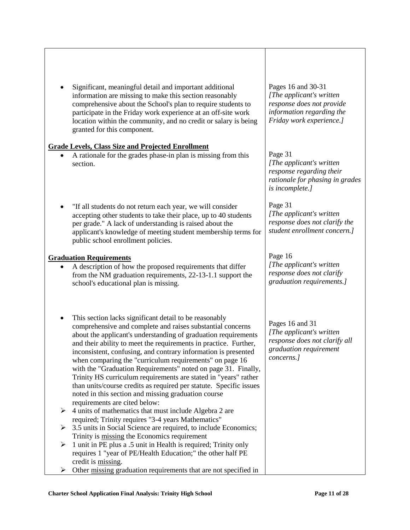Significant, meaningful detail and important additional information are missing to make this section reasonably comprehensive about the School's plan to require students to participate in the Friday work experience at an off-site work location within the community, and no credit or salary is being granted for this component.

### **Grade Levels, Class Size and Projected Enrollment**

- A rationale for the grades phase-in plan is missing from this section.
- "If all students do not return each year, we will consider accepting other students to take their place, up to 40 students per grade." A lack of understanding is raised about the applicant's knowledge of meeting student membership terms for public school enrollment policies.

### **Graduation Requirements**

- A description of how the proposed requirements that differ from the NM graduation requirements, 22-13-1.1 support the school's educational plan is missing.
- This section lacks significant detail to be reasonably comprehensive and complete and raises substantial concerns about the applicant's understanding of graduation requirements and their ability to meet the requirements in practice. Further, inconsistent, confusing, and contrary information is presented when comparing the "curriculum requirements" on page 16 with the "Graduation Requirements" noted on page 31. Finally, Trinity HS curriculum requirements are stated in "years" rather than units/course credits as required per statute. Specific issues noted in this section and missing graduation course requirements are cited below:
- $\triangleright$  4 units of mathematics that must include Algebra 2 are required; Trinity requires "3-4 years Mathematics"
- $\geq$  3.5 units in Social Science are required, to include Economics; Trinity is missing the Economics requirement
- $\geq 1$  unit in PE plus a .5 unit in Health is required; Trinity only requires 1 "year of PE/Health Education;" the other half PE credit is missing.
- $\triangleright$  Other missing graduation requirements that are not specified in

Pages 16 and 30-31 *[The applicant's written response does not provide information regarding the Friday work experience.]*

## Page 31

*[The applicant's written response regarding their rationale for phasing in grades is incomplete.]*

Page 31 *[The applicant's written response does not clarify the student enrollment concern.]*

### Page 16

*[The applicant's written response does not clarify graduation requirements.]*

Pages 16 and 31 *[The applicant's written response does not clarify all graduation requirement concerns.]*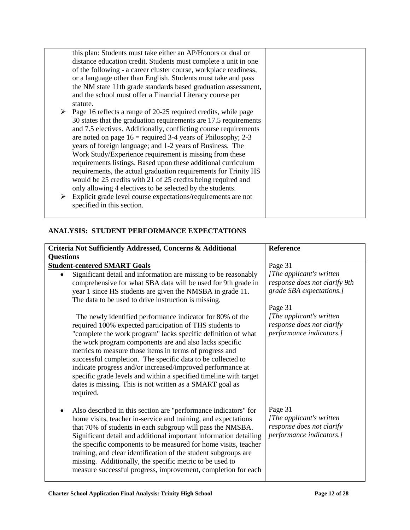|   | this plan: Students must take either an AP/Honors or dual or                    |  |
|---|---------------------------------------------------------------------------------|--|
|   | distance education credit. Students must complete a unit in one                 |  |
|   | of the following - a career cluster course, workplace readiness,                |  |
|   | or a language other than English. Students must take and pass                   |  |
|   | the NM state 11th grade standards based graduation assessment,                  |  |
|   | and the school must offer a Financial Literacy course per                       |  |
|   | statute.                                                                        |  |
|   | $\triangleright$ Page 16 reflects a range of 20-25 required credits, while page |  |
|   | 30 states that the graduation requirements are 17.5 requirements                |  |
|   | and 7.5 electives. Additionally, conflicting course requirements                |  |
|   | are noted on page $16$ = required 3-4 years of Philosophy; 2-3                  |  |
|   | years of foreign language; and 1-2 years of Business. The                       |  |
|   | Work Study/Experience requirement is missing from these                         |  |
|   | requirements listings. Based upon these additional curriculum                   |  |
|   | requirements, the actual graduation requirements for Trinity HS                 |  |
|   | would be 25 credits with 21 of 25 credits being required and                    |  |
|   | only allowing 4 electives to be selected by the students.                       |  |
| ➤ | Explicit grade level course expectations/requirements are not                   |  |
|   |                                                                                 |  |
|   | specified in this section.                                                      |  |
|   |                                                                                 |  |

# **ANALYSIS: STUDENT PERFORMANCE EXPECTATIONS**

| Criteria Not Sufficiently Addressed, Concerns & Additional                                                                    | Reference                     |
|-------------------------------------------------------------------------------------------------------------------------------|-------------------------------|
| <b>Questions</b>                                                                                                              |                               |
| <b>Student-centered SMART Goals</b>                                                                                           | Page 31                       |
| Significant detail and information are missing to be reasonably                                                               | [The applicant's written]     |
| comprehensive for what SBA data will be used for 9th grade in                                                                 | response does not clarify 9th |
| year 1 since HS students are given the NMSBA in grade 11.                                                                     | grade SBA expectations.]      |
| The data to be used to drive instruction is missing.                                                                          |                               |
|                                                                                                                               | Page 31                       |
| The newly identified performance indicator for 80% of the                                                                     | [The applicant's written]     |
| required 100% expected participation of THS students to                                                                       | response does not clarify     |
| "complete the work program" lacks specific definition of what                                                                 | performance indicators.]      |
| the work program components are and also lacks specific                                                                       |                               |
| metrics to measure those items in terms of progress and                                                                       |                               |
| successful completion. The specific data to be collected to                                                                   |                               |
| indicate progress and/or increased/improved performance at                                                                    |                               |
| specific grade levels and within a specified timeline with target<br>dates is missing. This is not written as a SMART goal as |                               |
| required.                                                                                                                     |                               |
|                                                                                                                               |                               |
| Also described in this section are "performance indicators" for                                                               | Page 31                       |
| home visits, teacher in-service and training, and expectations                                                                | [The applicant's written]     |
| that 70% of students in each subgroup will pass the NMSBA.                                                                    | response does not clarify     |
| Significant detail and additional important information detailing                                                             | performance indicators.]      |
| the specific components to be measured for home visits, teacher                                                               |                               |
| training, and clear identification of the student subgroups are                                                               |                               |
| missing. Additionally, the specific metric to be used to                                                                      |                               |
| measure successful progress, improvement, completion for each                                                                 |                               |
|                                                                                                                               |                               |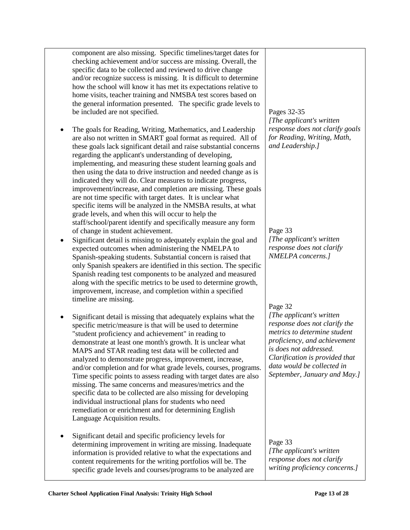| component are also missing. Specific timelines/target dates for<br>checking achievement and/or success are missing. Overall, the<br>specific data to be collected and reviewed to drive change<br>and/or recognize success is missing. It is difficult to determine<br>how the school will know it has met its expectations relative to<br>home visits, teacher training and NMSBA test scores based on<br>the general information presented. The specific grade levels to<br>be included are not specified.<br>The goals for Reading, Writing, Mathematics, and Leadership<br>are also not written in SMART goal format as required. All of<br>these goals lack significant detail and raise substantial concerns                                                                            | Pages 32-35<br>[The applicant's written]<br>response does not clarify goals<br>for Reading, Writing, Math,<br>and Leadership.]                                                                                                                       |
|-----------------------------------------------------------------------------------------------------------------------------------------------------------------------------------------------------------------------------------------------------------------------------------------------------------------------------------------------------------------------------------------------------------------------------------------------------------------------------------------------------------------------------------------------------------------------------------------------------------------------------------------------------------------------------------------------------------------------------------------------------------------------------------------------|------------------------------------------------------------------------------------------------------------------------------------------------------------------------------------------------------------------------------------------------------|
| regarding the applicant's understanding of developing,<br>implementing, and measuring these student learning goals and<br>then using the data to drive instruction and needed change as is<br>indicated they will do. Clear measures to indicate progress,<br>improvement/increase, and completion are missing. These goals<br>are not time specific with target dates. It is unclear what<br>specific items will be analyzed in the NMSBA results, at what<br>grade levels, and when this will occur to help the<br>staff/school/parent identify and specifically measure any form<br>of change in student achievement.<br>Significant detail is missing to adequately explain the goal and                                                                                                  | Page 33<br>[The applicant's written]                                                                                                                                                                                                                 |
| expected outcomes when administering the NMELPA to<br>Spanish-speaking students. Substantial concern is raised that<br>only Spanish speakers are identified in this section. The specific<br>Spanish reading test components to be analyzed and measured<br>along with the specific metrics to be used to determine growth,<br>improvement, increase, and completion within a specified<br>timeline are missing.                                                                                                                                                                                                                                                                                                                                                                              | response does not clarify<br>NMELPA concerns.]<br>Page 32                                                                                                                                                                                            |
| Significant detail is missing that adequately explains what the<br>specific metric/measure is that will be used to determine<br>"student proficiency and achievement" in reading to<br>demonstrate at least one month's growth. It is unclear what<br>MAPS and STAR reading test data will be collected and<br>analyzed to demonstrate progress, improvement, increase,<br>and/or completion and for what grade levels, courses, programs.<br>Time specific points to assess reading with target dates are also<br>missing. The same concerns and measures/metrics and the<br>specific data to be collected are also missing for developing<br>individual instructional plans for students who need<br>remediation or enrichment and for determining English<br>Language Acquisition results. | [The applicant's written]<br>response does not clarify the<br>metrics to determine student<br>proficiency, and achievement<br>is does not addressed.<br>Clarification is provided that<br>data would be collected in<br>September, January and May.] |
| Significant detail and specific proficiency levels for                                                                                                                                                                                                                                                                                                                                                                                                                                                                                                                                                                                                                                                                                                                                        |                                                                                                                                                                                                                                                      |

Page 33 *[The applicant's written response does not clarify writing proficiency concerns.]*

determining improvement in writing are missing. Inadequate information is provided relative to what the expectations and content requirements for the writing portfolios will be. The specific grade levels and courses/programs to be analyzed are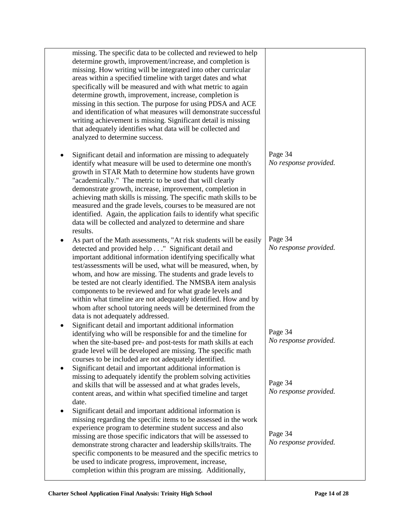| missing. The specific data to be collected and reviewed to help<br>determine growth, improvement/increase, and completion is<br>missing. How writing will be integrated into other curricular<br>areas within a specified timeline with target dates and what<br>specifically will be measured and with what metric to again<br>determine growth, improvement, increase, completion is<br>missing in this section. The purpose for using PDSA and ACE<br>and identification of what measures will demonstrate successful<br>writing achievement is missing. Significant detail is missing<br>that adequately identifies what data will be collected and<br>analyzed to determine success. |                                  |
|-------------------------------------------------------------------------------------------------------------------------------------------------------------------------------------------------------------------------------------------------------------------------------------------------------------------------------------------------------------------------------------------------------------------------------------------------------------------------------------------------------------------------------------------------------------------------------------------------------------------------------------------------------------------------------------------|----------------------------------|
| Significant detail and information are missing to adequately<br>identify what measure will be used to determine one month's<br>growth in STAR Math to determine how students have grown<br>"academically." The metric to be used that will clearly<br>demonstrate growth, increase, improvement, completion in<br>achieving math skills is missing. The specific math skills to be<br>measured and the grade levels, courses to be measured are not<br>identified. Again, the application fails to identify what specific<br>data will be collected and analyzed to determine and share<br>results.                                                                                       | Page 34<br>No response provided. |
| As part of the Math assessments, "At risk students will be easily<br>detected and provided help" Significant detail and<br>important additional information identifying specifically what<br>test/assessments will be used, what will be measured, when, by<br>whom, and how are missing. The students and grade levels to<br>be tested are not clearly identified. The NMSBA item analysis<br>components to be reviewed and for what grade levels and<br>within what timeline are not adequately identified. How and by<br>whom after school tutoring needs will be determined from the<br>data is not adequately addressed.                                                             | Page 34<br>No response provided. |
| Significant detail and important additional information<br>identifying who will be responsible for and the timeline for<br>when the site-based pre- and post-tests for math skills at each<br>grade level will be developed are missing. The specific math<br>courses to be included are not adequately identified.<br>Significant detail and important additional information is                                                                                                                                                                                                                                                                                                         | Page 34<br>No response provided. |
| missing to adequately identify the problem solving activities<br>and skills that will be assessed and at what grades levels,<br>content areas, and within what specified timeline and target<br>date.                                                                                                                                                                                                                                                                                                                                                                                                                                                                                     | Page 34<br>No response provided. |
| Significant detail and important additional information is<br>missing regarding the specific items to be assessed in the work<br>experience program to determine student success and also<br>missing are those specific indicators that will be assessed to<br>demonstrate strong character and leadership skills/traits. The<br>specific components to be measured and the specific metrics to<br>be used to indicate progress, improvement, increase,<br>completion within this program are missing. Additionally,                                                                                                                                                                      | Page 34<br>No response provided. |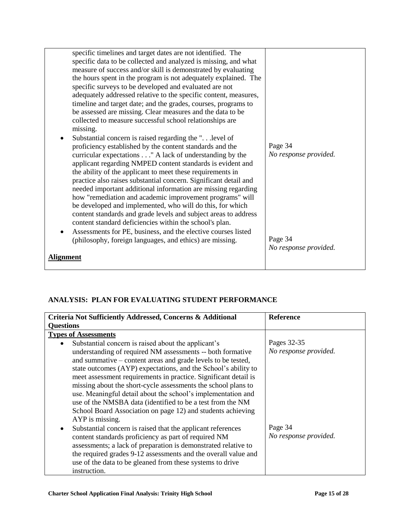| specific timelines and target dates are not identified. The<br>specific data to be collected and analyzed is missing, and what<br>measure of success and/or skill is demonstrated by evaluating<br>the hours spent in the program is not adequately explained. The<br>specific surveys to be developed and evaluated are not<br>adequately addressed relative to the specific content, measures,<br>timeline and target date; and the grades, courses, programs to<br>be assessed are missing. Clear measures and the data to be<br>collected to measure successful school relationships are |                                  |
|----------------------------------------------------------------------------------------------------------------------------------------------------------------------------------------------------------------------------------------------------------------------------------------------------------------------------------------------------------------------------------------------------------------------------------------------------------------------------------------------------------------------------------------------------------------------------------------------|----------------------------------|
| missing.<br>Substantial concern is raised regarding the " level of<br>$\bullet$<br>proficiency established by the content standards and the<br>curricular expectations " A lack of understanding by the                                                                                                                                                                                                                                                                                                                                                                                      | Page 34<br>No response provided. |
| applicant regarding NMPED content standards is evident and<br>the ability of the applicant to meet these requirements in<br>practice also raises substantial concern. Significant detail and<br>needed important additional information are missing regarding<br>how "remediation and academic improvement programs" will<br>be developed and implemented, who will do this, for which<br>content standards and grade levels and subject areas to address<br>content standard deficiencies within the school's plan.<br>Assessments for PE, business, and the elective courses listed        |                                  |
| (philosophy, foreign languages, and ethics) are missing.                                                                                                                                                                                                                                                                                                                                                                                                                                                                                                                                     | Page 34                          |
| Alignment                                                                                                                                                                                                                                                                                                                                                                                                                                                                                                                                                                                    | No response provided.            |
|                                                                                                                                                                                                                                                                                                                                                                                                                                                                                                                                                                                              |                                  |

# **ANALYSIS: PLAN FOR EVALUATING STUDENT PERFORMANCE**

| Criteria Not Sufficiently Addressed, Concerns & Additional      | <b>Reference</b>      |  |  |  |
|-----------------------------------------------------------------|-----------------------|--|--|--|
| <b>Questions</b>                                                |                       |  |  |  |
| <b>Types of Assessments</b>                                     |                       |  |  |  |
| Substantial concern is raised about the applicant's             | Pages 32-35           |  |  |  |
| understanding of required NM assessments -- both formative      | No response provided. |  |  |  |
| and summative – content areas and grade levels to be tested,    |                       |  |  |  |
| state outcomes (AYP) expectations, and the School's ability to  |                       |  |  |  |
| meet assessment requirements in practice. Significant detail is |                       |  |  |  |
| missing about the short-cycle assessments the school plans to   |                       |  |  |  |
| use. Meaningful detail about the school's implementation and    |                       |  |  |  |
| use of the NMSBA data (identified to be a test from the NM      |                       |  |  |  |
| School Board Association on page 12) and students achieving     |                       |  |  |  |
| AYP is missing.                                                 |                       |  |  |  |
| Substantial concern is raised that the applicant references     | Page 34               |  |  |  |
| content standards proficiency as part of required NM            | No response provided. |  |  |  |
| assessments; a lack of preparation is demonstrated relative to  |                       |  |  |  |
| the required grades 9-12 assessments and the overall value and  |                       |  |  |  |
| use of the data to be gleaned from these systems to drive       |                       |  |  |  |
| instruction.                                                    |                       |  |  |  |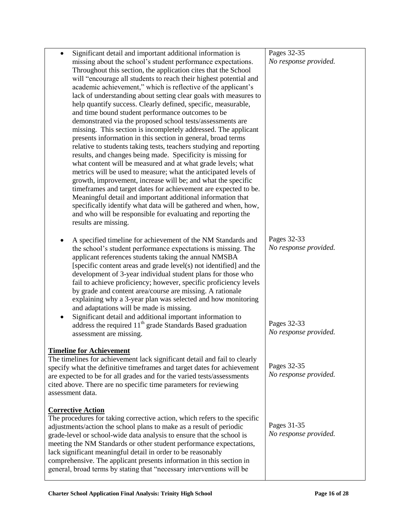| Significant detail and important additional information is<br>$\bullet$   | Pages 32-35           |
|---------------------------------------------------------------------------|-----------------------|
| missing about the school's student performance expectations.              | No response provided. |
| Throughout this section, the application cites that the School            |                       |
| will "encourage all students to reach their highest potential and         |                       |
| academic achievement," which is reflective of the applicant's             |                       |
| lack of understanding about setting clear goals with measures to          |                       |
| help quantify success. Clearly defined, specific, measurable,             |                       |
| and time bound student performance outcomes to be                         |                       |
| demonstrated via the proposed school tests/assessments are                |                       |
|                                                                           |                       |
| missing. This section is incompletely addressed. The applicant            |                       |
| presents information in this section in general, broad terms              |                       |
| relative to students taking tests, teachers studying and reporting        |                       |
| results, and changes being made. Specificity is missing for               |                       |
| what content will be measured and at what grade levels; what              |                       |
| metrics will be used to measure; what the anticipated levels of           |                       |
| growth, improvement, increase will be; and what the specific              |                       |
| timeframes and target dates for achievement are expected to be.           |                       |
| Meaningful detail and important additional information that               |                       |
| specifically identify what data will be gathered and when, how,           |                       |
| and who will be responsible for evaluating and reporting the              |                       |
| results are missing.                                                      |                       |
|                                                                           |                       |
| A specified timeline for achievement of the NM Standards and<br>٠         | Pages 32-33           |
| the school's student performance expectations is missing. The             | No response provided. |
| applicant references students taking the annual NMSBA                     |                       |
| [specific content areas and grade level(s) not identified] and the        |                       |
| development of 3-year individual student plans for those who              |                       |
| fail to achieve proficiency; however, specific proficiency levels         |                       |
| by grade and content area/course are missing. A rationale                 |                       |
| explaining why a 3-year plan was selected and how monitoring              |                       |
| and adaptations will be made is missing.                                  |                       |
|                                                                           |                       |
| Significant detail and additional important information to                | Pages 32-33           |
| address the required 11 <sup>th</sup> grade Standards Based graduation    | No response provided. |
| assessment are missing.                                                   |                       |
|                                                                           |                       |
| <b>Timeline for Achievement</b>                                           |                       |
| The timelines for achievement lack significant detail and fail to clearly | Pages 32-35           |
| specify what the definitive timeframes and target dates for achievement   | No response provided. |
| are expected to be for all grades and for the varied tests/assessments    |                       |
| cited above. There are no specific time parameters for reviewing          |                       |
| assessment data.                                                          |                       |
|                                                                           |                       |
| <b>Corrective Action</b>                                                  |                       |
| The procedures for taking corrective action, which refers to the specific | Pages 31-35           |
| adjustments/action the school plans to make as a result of periodic       | No response provided. |
| grade-level or school-wide data analysis to ensure that the school is     |                       |
| meeting the NM Standards or other student performance expectations,       |                       |
| lack significant meaningful detail in order to be reasonably              |                       |
| comprehensive. The applicant presents information in this section in      |                       |
| general, broad terms by stating that "necessary interventions will be     |                       |
|                                                                           |                       |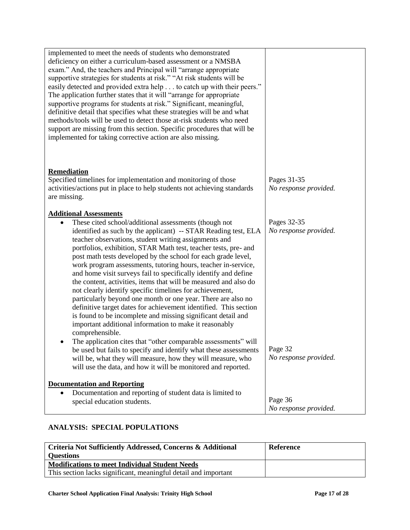| implemented to meet the needs of students who demonstrated<br>deficiency on either a curriculum-based assessment or a NMSBA<br>exam." And, the teachers and Principal will "arrange appropriate<br>supportive strategies for students at risk." "At risk students will be<br>easily detected and provided extra help to catch up with their peers."<br>The application further states that it will "arrange for appropriate"<br>supportive programs for students at risk." Significant, meaningful,<br>definitive detail that specifies what these strategies will be and what<br>methods/tools will be used to detect those at-risk students who need<br>support are missing from this section. Specific procedures that will be<br>implemented for taking corrective action are also missing.                                                                                                                         |                                      |
|-------------------------------------------------------------------------------------------------------------------------------------------------------------------------------------------------------------------------------------------------------------------------------------------------------------------------------------------------------------------------------------------------------------------------------------------------------------------------------------------------------------------------------------------------------------------------------------------------------------------------------------------------------------------------------------------------------------------------------------------------------------------------------------------------------------------------------------------------------------------------------------------------------------------------|--------------------------------------|
| Remediation<br>Specified timelines for implementation and monitoring of those<br>activities/actions put in place to help students not achieving standards<br>are missing.                                                                                                                                                                                                                                                                                                                                                                                                                                                                                                                                                                                                                                                                                                                                               | Pages 31-35<br>No response provided. |
| <b>Additional Assessments</b><br>These cited school/additional assessments (though not<br>$\bullet$<br>identified as such by the applicant) -- STAR Reading test, ELA<br>teacher observations, student writing assignments and<br>portfolios, exhibition, STAR Math test, teacher tests, pre- and<br>post math tests developed by the school for each grade level,<br>work program assessments, tutoring hours, teacher in-service,<br>and home visit surveys fail to specifically identify and define<br>the content, activities, items that will be measured and also do<br>not clearly identify specific timelines for achievement,<br>particularly beyond one month or one year. There are also no<br>definitive target dates for achievement identified. This section<br>is found to be incomplete and missing significant detail and<br>important additional information to make it reasonably<br>comprehensible. | Pages 32-35<br>No response provided. |
| The application cites that "other comparable assessments" will<br>be used but fails to specify and identify what these assessments<br>will be, what they will measure, how they will measure, who<br>will use the data, and how it will be monitored and reported.                                                                                                                                                                                                                                                                                                                                                                                                                                                                                                                                                                                                                                                      | Page 32<br>No response provided.     |
| <b>Documentation and Reporting</b><br>Documentation and reporting of student data is limited to<br>special education students.                                                                                                                                                                                                                                                                                                                                                                                                                                                                                                                                                                                                                                                                                                                                                                                          | Page 36<br>No response provided.     |

# **ANALYSIS: SPECIAL POPULATIONS**

| Criteria Not Sufficiently Addressed, Concerns & Additional      | <b>Reference</b> |
|-----------------------------------------------------------------|------------------|
| <b>Questions</b>                                                |                  |
| <b>Modifications to meet Individual Student Needs</b>           |                  |
| This section lacks significant, meaningful detail and important |                  |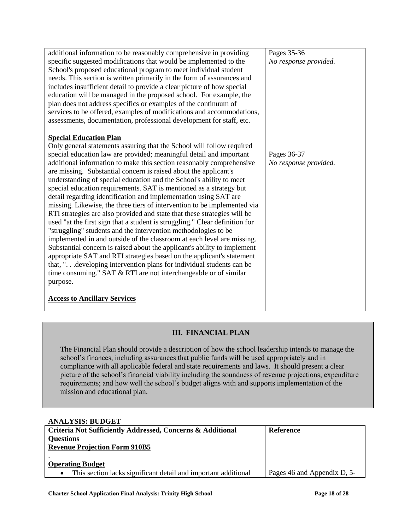| additional information to be reasonably comprehensive in providing          | Pages 35-36           |
|-----------------------------------------------------------------------------|-----------------------|
| specific suggested modifications that would be implemented to the           | No response provided. |
| School's proposed educational program to meet individual student            |                       |
| needs. This section is written primarily in the form of assurances and      |                       |
| includes insufficient detail to provide a clear picture of how special      |                       |
| education will be managed in the proposed school. For example, the          |                       |
| plan does not address specifics or examples of the continuum of             |                       |
| services to be offered, examples of modifications and accommodations,       |                       |
| assessments, documentation, professional development for staff, etc.        |                       |
|                                                                             |                       |
| <b>Special Education Plan</b>                                               |                       |
| Only general statements assuring that the School will follow required       |                       |
| special education law are provided; meaningful detail and important         | Pages 36-37           |
| additional information to make this section reasonably comprehensive        | No response provided. |
| are missing. Substantial concern is raised about the applicant's            |                       |
| understanding of special education and the School's ability to meet         |                       |
| special education requirements. SAT is mentioned as a strategy but          |                       |
| detail regarding identification and implementation using SAT are            |                       |
| missing. Likewise, the three tiers of intervention to be implemented via    |                       |
| RTI strategies are also provided and state that these strategies will be    |                       |
| used "at the first sign that a student is struggling." Clear definition for |                       |
| "struggling" students and the intervention methodologies to be              |                       |
| implemented in and outside of the classroom at each level are missing.      |                       |
| Substantial concern is raised about the applicant's ability to implement    |                       |
| appropriate SAT and RTI strategies based on the applicant's statement       |                       |
| that, "developing intervention plans for individual students can be         |                       |
| time consuming." SAT & RTI are not interchangeable or of similar            |                       |
| purpose.                                                                    |                       |
|                                                                             |                       |
| <b>Access to Ancillary Services</b>                                         |                       |
|                                                                             |                       |

# **III. FINANCIAL PLAN**

The Financial Plan should provide a description of how the school leadership intends to manage the school's finances, including assurances that public funds will be used appropriately and in compliance with all applicable federal and state requirements and laws. It should present a clear picture of the school's financial viability including the soundness of revenue projections; expenditure requirements; and how well the school's budget aligns with and supports implementation of the mission and educational plan.

### **ANALYSIS: BUDGET**

| <b>Criteria Not Sufficiently Addressed, Concerns &amp; Additional</b> | <b>Reference</b>            |  |  |
|-----------------------------------------------------------------------|-----------------------------|--|--|
| <b>Questions</b>                                                      |                             |  |  |
| <b>Revenue Projection Form 910B5</b>                                  |                             |  |  |
|                                                                       |                             |  |  |
| <b>Operating Budget</b>                                               |                             |  |  |
| This section lacks significant detail and important additional        | Pages 46 and Appendix D, 5- |  |  |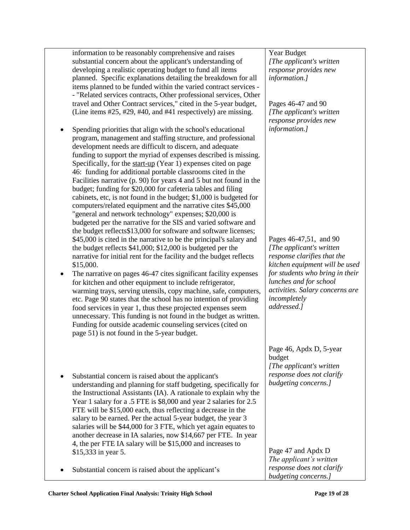| information to be reasonably comprehensive and raises<br>substantial concern about the applicant's understanding of<br>developing a realistic operating budget to fund all items<br>planned. Specific explanations detailing the breakdown for all<br>items planned to be funded within the varied contract services -<br>- "Related services contracts, Other professional services, Other<br>travel and Other Contract services," cited in the 5-year budget,<br>(Line items #25, #29, #40, and #41 respectively) are missing.                                                                                                                                                                                                                                                                                                                                         | Year Budget<br>[The applicant's written<br>response provides new<br>information.]<br>Pages 46-47 and 90<br>[The applicant's written]<br>response provides new                                                                                       |
|--------------------------------------------------------------------------------------------------------------------------------------------------------------------------------------------------------------------------------------------------------------------------------------------------------------------------------------------------------------------------------------------------------------------------------------------------------------------------------------------------------------------------------------------------------------------------------------------------------------------------------------------------------------------------------------------------------------------------------------------------------------------------------------------------------------------------------------------------------------------------|-----------------------------------------------------------------------------------------------------------------------------------------------------------------------------------------------------------------------------------------------------|
| Spending priorities that align with the school's educational<br>program, management and staffing structure, and professional<br>development needs are difficult to discern, and adequate<br>funding to support the myriad of expenses described is missing.<br>Specifically, for the start-up (Year 1) expenses cited on page<br>46: funding for additional portable classrooms cited in the<br>Facilities narrative (p. 90) for years 4 and 5 but not found in the<br>budget; funding for \$20,000 for cafeteria tables and filing<br>cabinets, etc, is not found in the budget; \$1,000 is budgeted for<br>computers/related equipment and the narrative cites \$45,000<br>"general and network technology" expenses; \$20,000 is<br>budgeted per the narrative for the SIS and varied software and<br>the budget reflects\$13,000 for software and software licenses; | information.]                                                                                                                                                                                                                                       |
| \$45,000 is cited in the narrative to be the principal's salary and<br>the budget reflects \$41,000; \$12,000 is budgeted per the<br>narrative for initial rent for the facility and the budget reflects<br>\$15,000.<br>The narrative on pages 46-47 cites significant facility expenses<br>for kitchen and other equipment to include refrigerator,<br>warming trays, serving utensils, copy machine, safe, computers,<br>etc. Page 90 states that the school has no intention of providing<br>food services in year 1, thus these projected expenses seem<br>unnecessary. This funding is not found in the budget as written.<br>Funding for outside academic counseling services (cited on<br>page 51) is not found in the 5-year budget.                                                                                                                            | Pages 46-47,51, and 90<br>[The applicant's written]<br>response clarifies that the<br>kitchen equipment will be used<br>for students who bring in their<br>lunches and for school<br>activities. Salary concerns are<br>incompletely<br>addressed.] |
| Substantial concern is raised about the applicant's<br>understanding and planning for staff budgeting, specifically for<br>the Instructional Assistants (IA). A rationale to explain why the<br>Year 1 salary for a .5 FTE is \$8,000 and year 2 salaries for 2.5<br>FTE will be \$15,000 each, thus reflecting a decrease in the<br>salary to be earned. Per the actual 5-year budget, the year 3<br>salaries will be \$44,000 for 3 FTE, which yet again equates to<br>another decrease in IA salaries, now \$14,667 per FTE. In year<br>4, the per FTE IA salary will be \$15,000 and increases to                                                                                                                                                                                                                                                                    | Page 46, Apdx D, 5-year<br>budget<br>[The applicant's written]<br>response does not clarify<br>budgeting concerns.]                                                                                                                                 |
| \$15,333 in year 5.<br>Substantial concern is raised about the applicant's                                                                                                                                                                                                                                                                                                                                                                                                                                                                                                                                                                                                                                                                                                                                                                                               | Page 47 and Apdx D<br>The applicant's written<br>response does not clarify<br>budgeting concerns.]                                                                                                                                                  |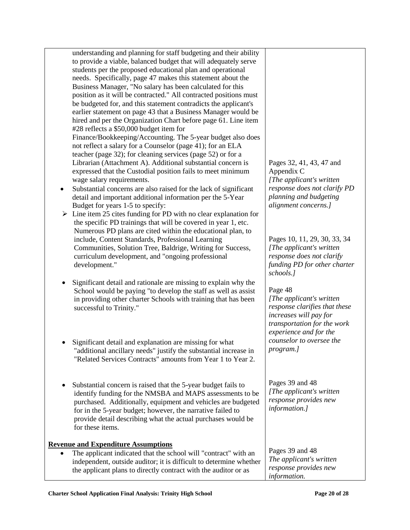|   | understanding and planning for staff budgeting and their ability<br>to provide a viable, balanced budget that will adequately serve<br>students per the proposed educational plan and operational<br>needs. Specifically, page 47 makes this statement about the<br>Business Manager, "No salary has been calculated for this<br>position as it will be contracted." All contracted positions must<br>be budgeted for, and this statement contradicts the applicant's                                                                                                                                 |                                                                                                                                                                                       |
|---|-------------------------------------------------------------------------------------------------------------------------------------------------------------------------------------------------------------------------------------------------------------------------------------------------------------------------------------------------------------------------------------------------------------------------------------------------------------------------------------------------------------------------------------------------------------------------------------------------------|---------------------------------------------------------------------------------------------------------------------------------------------------------------------------------------|
| ٠ | earlier statement on page 43 that a Business Manager would be<br>hired and per the Organization Chart before page 61. Line item<br>#28 reflects a \$50,000 budget item for<br>Finance/Bookkeeping/Accounting. The 5-year budget also does<br>not reflect a salary for a Counselor (page 41); for an ELA<br>teacher (page 32); for cleaning services (page 52) or for a<br>Librarian (Attachment A). Additional substantial concern is<br>expressed that the Custodial position fails to meet minimum<br>wage salary requirements.<br>Substantial concerns are also raised for the lack of significant | Pages 32, 41, 43, 47 and<br>Appendix C<br>[The applicant's written<br>response does not clarify PD                                                                                    |
|   | detail and important additional information per the 5-Year<br>Budget for years 1-5 to specify:<br>Line item 25 cites funding for PD with no clear explanation for<br>the specific PD trainings that will be covered in year 1, etc.<br>Numerous PD plans are cited within the educational plan, to<br>include, Content Standards, Professional Learning<br>Communities, Solution Tree, Baldrige, Writing for Success,<br>curriculum development, and "ongoing professional<br>development."                                                                                                           | planning and budgeting<br>alignment concerns.]<br>Pages 10, 11, 29, 30, 33, 34<br>[The applicant's written]<br>response does not clarify<br>funding PD for other charter<br>schools.] |
| ٠ | Significant detail and rationale are missing to explain why the<br>School would be paying "to develop the staff as well as assist<br>in providing other charter Schools with training that has been<br>successful to Trinity."                                                                                                                                                                                                                                                                                                                                                                        | Page 48<br>[The applicant's written]<br>response clarifies that these<br>increases will pay for<br>transportation for the work<br>experience and for the                              |
|   | Significant detail and explanation are missing for what<br>"additional ancillary needs" justify the substantial increase in<br>"Related Services Contracts" amounts from Year 1 to Year 2.                                                                                                                                                                                                                                                                                                                                                                                                            | counselor to oversee the<br>program.]                                                                                                                                                 |
| ٠ | Substantial concern is raised that the 5-year budget fails to<br>identify funding for the NMSBA and MAPS assessments to be<br>purchased. Additionally, equipment and vehicles are budgeted<br>for in the 5-year budget; however, the narrative failed to<br>provide detail describing what the actual purchases would be<br>for these items.                                                                                                                                                                                                                                                          | Pages 39 and 48<br>[The applicant's written<br>response provides new<br>information.]                                                                                                 |
|   | <b>Revenue and Expenditure Assumptions</b><br>The applicant indicated that the school will "contract" with an<br>independent, outside auditor; it is difficult to determine whether<br>the applicant plans to directly contract with the auditor or as                                                                                                                                                                                                                                                                                                                                                | Pages 39 and 48<br>The applicant's written<br>response provides new<br>information.                                                                                                   |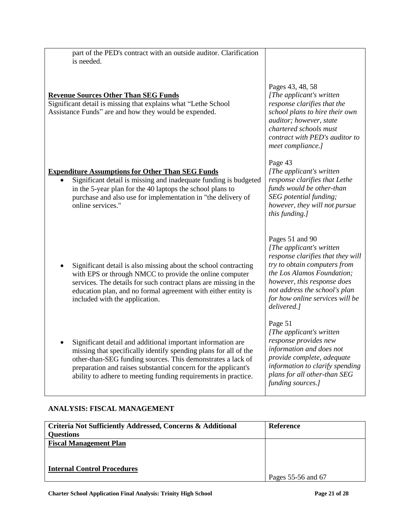| part of the PED's contract with an outside auditor. Clarification |  |
|-------------------------------------------------------------------|--|
| is needed.                                                        |  |

### **Revenue Sources Other Than SEG Funds**

Significant detail is missing that explains what "Lethe School Assistance Funds" are and how they would be expended.

### **Expenditure Assumptions for Other Than SEG Funds**

- Significant detail is missing and inadequate funding is budgeted in the 5-year plan for the 40 laptops the school plans to purchase and also use for implementation in "the delivery of online services."
- Significant detail is also missing about the school contracting with EPS or through NMCC to provide the online computer services. The details for such contract plans are missing in the education plan, and no formal agreement with either entity is included with the application.
- Significant detail and additional important information are missing that specifically identify spending plans for all of the other-than-SEG funding sources. This demonstrates a lack of preparation and raises substantial concern for the applicant's ability to adhere to meeting funding requirements in practice.

# Pages 43, 48, 58

*[The applicant's written response clarifies that the school plans to hire their own auditor; however, state chartered schools must contract with PED's auditor to meet compliance.]*

#### Page 43

*[The applicant's written response clarifies that Lethe funds would be other-than SEG potential funding; however, they will not pursue this funding.]*

### Pages 51 and 90

*[The applicant's written response clarifies that they will try to obtain computers from the Los Alamos Foundation; however, this response does not address the school's plan for how online services will be delivered.]*

### Page 51

*[The applicant's written response provides new information and does not provide complete, adequate information to clarify spending plans for all other-than SEG funding sources.]*

# **ANALYSIS: FISCAL MANAGEMENT**

| Criteria Not Sufficiently Addressed, Concerns & Additional | <b>Reference</b>   |
|------------------------------------------------------------|--------------------|
| <b>Questions</b>                                           |                    |
| <b>Fiscal Management Plan</b>                              |                    |
|                                                            |                    |
|                                                            |                    |
| <b>Internal Control Procedures</b>                         |                    |
|                                                            | Pages 55-56 and 67 |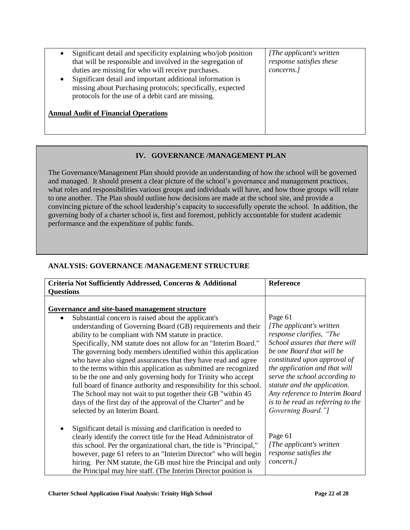| Significant detail and specificity explaining who/job position<br>that will be responsible and involved in the segregation of<br>duties are missing for who will receive purchases.<br>Significant detail and important additional information is<br>$\bullet$<br>missing about Purchasing protocols; specifically, expected<br>protocols for the use of a debit card are missing. | [The applicant's written]<br>response satisfies these<br>concerns.] |
|------------------------------------------------------------------------------------------------------------------------------------------------------------------------------------------------------------------------------------------------------------------------------------------------------------------------------------------------------------------------------------|---------------------------------------------------------------------|
| <b>Annual Audit of Financial Operations</b>                                                                                                                                                                                                                                                                                                                                        |                                                                     |

## **IV. GOVERNANCE /MANAGEMENT PLAN**

The Governance/Management Plan should provide an understanding of how the school will be governed and managed. It should present a clear picture of the school's governance and management practices, what roles and responsibilities various groups and individuals will have, and how those groups will relate to one another. The Plan should outline how decisions are made at the school site, and provide a convincing picture of the school leadership's capacity to successfully operate the school. In addition, the governing body of a charter school is, first and foremost, publicly accountable for student academic performance and the expenditure of public funds.

# **ANALYSIS: GOVERNANCE /MANAGEMENT STRUCTURE**

| Criteria Not Sufficiently Addressed, Concerns & Additional                                                                                                                                                                                                                                                                                                                                                                                                                                                                                                                                                                                                                                                                                                   | Reference                                                                                                                                                                                                                                                                                                                                                      |
|--------------------------------------------------------------------------------------------------------------------------------------------------------------------------------------------------------------------------------------------------------------------------------------------------------------------------------------------------------------------------------------------------------------------------------------------------------------------------------------------------------------------------------------------------------------------------------------------------------------------------------------------------------------------------------------------------------------------------------------------------------------|----------------------------------------------------------------------------------------------------------------------------------------------------------------------------------------------------------------------------------------------------------------------------------------------------------------------------------------------------------------|
| <b>Questions</b>                                                                                                                                                                                                                                                                                                                                                                                                                                                                                                                                                                                                                                                                                                                                             |                                                                                                                                                                                                                                                                                                                                                                |
|                                                                                                                                                                                                                                                                                                                                                                                                                                                                                                                                                                                                                                                                                                                                                              |                                                                                                                                                                                                                                                                                                                                                                |
| Governance and site-based management structure                                                                                                                                                                                                                                                                                                                                                                                                                                                                                                                                                                                                                                                                                                               |                                                                                                                                                                                                                                                                                                                                                                |
| Substantial concern is raised about the applicant's<br>understanding of Governing Board (GB) requirements and their<br>ability to be compliant with NM statute in practice.<br>Specifically, NM statute does not allow for an "Interim Board."<br>The governing body members identified within this application<br>who have also signed assurances that they have read and agree<br>to the terms within this application as submitted are recognized<br>to be the one and only governing body for Trinity who accept<br>full board of finance authority and responsibility for this school.<br>The School may not wait to put together their GB "within 45"<br>days of the first day of the approval of the Charter" and be<br>selected by an Interim Board. | Page 61<br>[The applicant's written]<br>response clarifies, "The<br>School assures that there will<br>be one Board that will be<br>constituted upon approval of<br>the application and that will<br>serve the school according to<br>statute and the application.<br>Any reference to Interim Board<br>is to be read as referring to the<br>Governing Board."] |
| Significant detail is missing and clarification is needed to<br>clearly identify the correct title for the Head Administrator of<br>this school. Per the organizational chart, the title is "Principal,"<br>however, page 61 refers to an "Interim Director" who will begin<br>hiring. Per NM statute, the GB must hire the Principal and only<br>the Principal may hire staff. (The Interim Director position is                                                                                                                                                                                                                                                                                                                                            | Page 61<br>[The applicant's written]<br>response satisfies the<br>concern.]                                                                                                                                                                                                                                                                                    |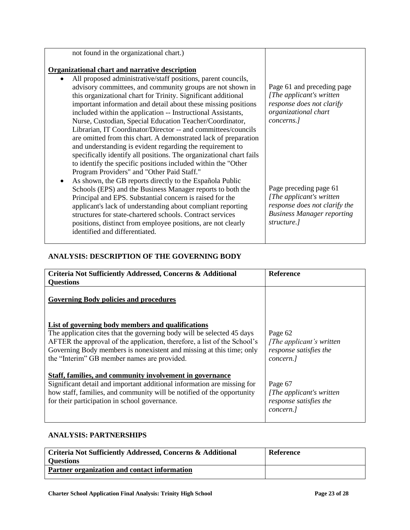| Page 61 and preceding page<br>[The applicant's written]<br>response does not clarify<br>organizational chart<br>concerns.]<br>Page preceding page 61 |
|------------------------------------------------------------------------------------------------------------------------------------------------------|
| [The applicant's written]<br>response does not clarify the<br><b>Business Manager reporting</b><br>structure.]                                       |
|                                                                                                                                                      |

### **ANALYSIS: DESCRIPTION OF THE GOVERNING BODY**

| Criteria Not Sufficiently Addressed, Concerns & Additional                                                                                                                                                                                                                                                                     | <b>Reference</b>                                                            |
|--------------------------------------------------------------------------------------------------------------------------------------------------------------------------------------------------------------------------------------------------------------------------------------------------------------------------------|-----------------------------------------------------------------------------|
| <b>Questions</b>                                                                                                                                                                                                                                                                                                               |                                                                             |
| <b>Governing Body policies and procedures</b>                                                                                                                                                                                                                                                                                  |                                                                             |
| List of governing body members and qualifications<br>The application cites that the governing body will be selected 45 days<br>AFTER the approval of the application, therefore, a list of the School's<br>Governing Body members is nonexistent and missing at this time; only<br>the "Interim" GB member names are provided. | Page 62<br>[The applicant's written]<br>response satisfies the<br>concern.] |
| Staff, families, and community involvement in governance<br>Significant detail and important additional information are missing for<br>how staff, families, and community will be notified of the opportunity<br>for their participation in school governance.                                                                 | Page 67<br>[The applicant's written]<br>response satisfies the<br>concern.  |

## **ANALYSIS: PARTNERSHIPS**

| Criteria Not Sufficiently Addressed, Concerns & Additional | Reference |
|------------------------------------------------------------|-----------|
| <b>Ouestions</b>                                           |           |
| Partner organization and contact information               |           |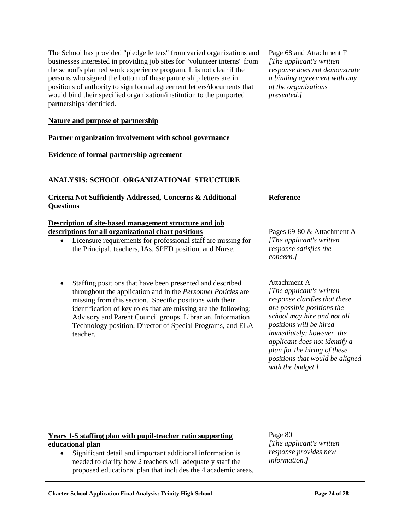# **ANALYSIS: SCHOOL ORGANIZATIONAL STRUCTURE**

| Criteria Not Sufficiently Addressed, Concerns & Additional<br><b>Ouestions</b>                                                                                                                                                                                                                                                                                                                   | Reference                                                                                                                                                                                                                                                                                                                |
|--------------------------------------------------------------------------------------------------------------------------------------------------------------------------------------------------------------------------------------------------------------------------------------------------------------------------------------------------------------------------------------------------|--------------------------------------------------------------------------------------------------------------------------------------------------------------------------------------------------------------------------------------------------------------------------------------------------------------------------|
| Description of site-based management structure and job<br>descriptions for all organizational chart positions<br>Licensure requirements for professional staff are missing for<br>the Principal, teachers, IAs, SPED position, and Nurse.                                                                                                                                                        | Pages 69-80 & Attachment A<br>[The applicant's written]<br>response satisfies the<br>concern.]                                                                                                                                                                                                                           |
| Staffing positions that have been presented and described<br>throughout the application and in the Personnel Policies are<br>missing from this section. Specific positions with their<br>identification of key roles that are missing are the following:<br>Advisory and Parent Council groups, Librarian, Information<br>Technology position, Director of Special Programs, and ELA<br>teacher. | Attachment A<br>[The applicant's written]<br>response clarifies that these<br>are possible positions the<br>school may hire and not all<br>positions will be hired<br>immediately; however, the<br>applicant does not identify a<br>plan for the hiring of these<br>positions that would be aligned<br>with the budget.] |
| <b>Years 1-5 staffing plan with pupil-teacher ratio supporting</b><br>educational plan<br>Significant detail and important additional information is<br>needed to clarify how 2 teachers will adequately staff the<br>proposed educational plan that includes the 4 academic areas,                                                                                                              | Page 80<br>[The applicant's written]<br>response provides new<br>information.]                                                                                                                                                                                                                                           |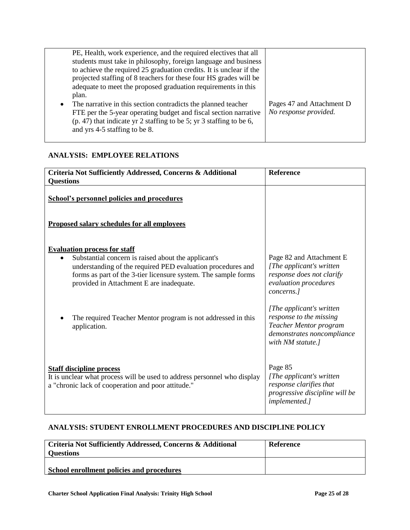| PE, Health, work experience, and the required electives that all<br>students must take in philosophy, foreign language and business<br>to achieve the required 25 graduation credits. It is unclear if the<br>projected staffing of 8 teachers for these four HS grades will be<br>adequate to meet the proposed graduation requirements in this<br>plan.<br>The narrative in this section contradicts the planned teacher<br>FTE per the 5-year operating budget and fiscal section narrative<br>$(p. 47)$ that indicate yr 2 staffing to be 5; yr 3 staffing to be 6,<br>and yrs 4-5 staffing to be 8. | Pages 47 and Attachment D<br>No response provided. |
|----------------------------------------------------------------------------------------------------------------------------------------------------------------------------------------------------------------------------------------------------------------------------------------------------------------------------------------------------------------------------------------------------------------------------------------------------------------------------------------------------------------------------------------------------------------------------------------------------------|----------------------------------------------------|
|----------------------------------------------------------------------------------------------------------------------------------------------------------------------------------------------------------------------------------------------------------------------------------------------------------------------------------------------------------------------------------------------------------------------------------------------------------------------------------------------------------------------------------------------------------------------------------------------------------|----------------------------------------------------|

# **ANALYSIS: EMPLOYEE RELATIONS**

| Criteria Not Sufficiently Addressed, Concerns & Additional<br><b>Questions</b>                                                                                                                                                                                          | <b>Reference</b>                                                                                                                  |
|-------------------------------------------------------------------------------------------------------------------------------------------------------------------------------------------------------------------------------------------------------------------------|-----------------------------------------------------------------------------------------------------------------------------------|
| <b>School's personnel policies and procedures</b>                                                                                                                                                                                                                       |                                                                                                                                   |
| <b>Proposed salary schedules for all employees</b>                                                                                                                                                                                                                      |                                                                                                                                   |
| <b>Evaluation process for staff</b><br>Substantial concern is raised about the applicant's<br>understanding of the required PED evaluation procedures and<br>forms as part of the 3-tier licensure system. The sample forms<br>provided in Attachment E are inadequate. | Page 82 and Attachment E<br>[The applicant's written<br>response does not clarify<br>evaluation procedures<br>concerns.]          |
| The required Teacher Mentor program is not addressed in this<br>application.                                                                                                                                                                                            | [The applicant's written]<br>response to the missing<br>Teacher Mentor program<br>demonstrates noncompliance<br>with NM statute.] |
| <b>Staff discipline process</b><br>It is unclear what process will be used to address personnel who display<br>a "chronic lack of cooperation and poor attitude."                                                                                                       | Page 85<br>[The applicant's written<br>response clarifies that<br>progressive discipline will be<br>implemented.]                 |

# **ANALYSIS: STUDENT ENROLLMENT PROCEDURES AND DISCIPLINE POLICY**

| Criteria Not Sufficiently Addressed, Concerns & Additional<br><b>Questions</b> | <b>Reference</b> |
|--------------------------------------------------------------------------------|------------------|
| School enrollment policies and procedures                                      |                  |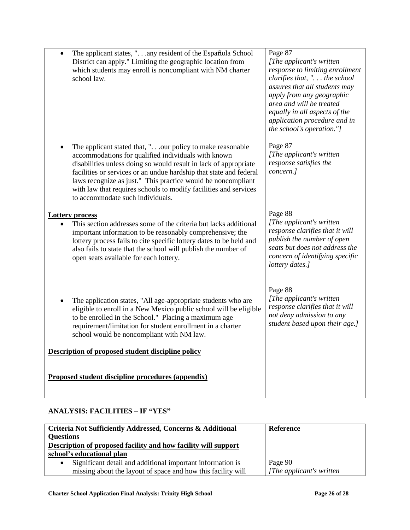| The applicant states, ". any resident of the Española School<br>District can apply." Limiting the geographic location from<br>which students may enroll is noncompliant with NM charter<br>school law.                                                                                                                                                                                                                              | Page 87<br>[The applicant's written]<br>response to limiting enrollment<br>clarifies that, " the school<br>assures that all students may<br>apply from any geographic<br>area and will be treated<br>equally in all aspects of the<br>application procedure and in<br>the school's operation."] |
|-------------------------------------------------------------------------------------------------------------------------------------------------------------------------------------------------------------------------------------------------------------------------------------------------------------------------------------------------------------------------------------------------------------------------------------|-------------------------------------------------------------------------------------------------------------------------------------------------------------------------------------------------------------------------------------------------------------------------------------------------|
| The applicant stated that, ".our policy to make reasonable<br>accommodations for qualified individuals with known<br>disabilities unless doing so would result in lack of appropriate<br>facilities or services or an undue hardship that state and federal<br>laws recognize as just." This practice would be noncompliant<br>with law that requires schools to modify facilities and services<br>to accommodate such individuals. | Page 87<br>[The applicant's written]<br>response satisfies the<br>concern.]                                                                                                                                                                                                                     |
| <b>Lottery process</b><br>This section addresses some of the criteria but lacks additional<br>important information to be reasonably comprehensive; the<br>lottery process fails to cite specific lottery dates to be held and<br>also fails to state that the school will publish the number of<br>open seats available for each lottery.                                                                                          | Page 88<br>[The applicant's written]<br>response clarifies that it will<br>publish the number of open<br>seats but does not address the<br>concern of identifying specific<br>lottery dates.]                                                                                                   |
| The application states, "All age-appropriate students who are<br>eligible to enroll in a New Mexico public school will be eligible<br>to be enrolled in the School." Placing a maximum age<br>requirement/limitation for student enrollment in a charter<br>school would be noncompliant with NM law.                                                                                                                               | Page 88<br>[The applicant's written<br>response clarifies that it will<br>not deny admission to any<br>student based upon their age.]                                                                                                                                                           |
| Description of proposed student discipline policy                                                                                                                                                                                                                                                                                                                                                                                   |                                                                                                                                                                                                                                                                                                 |
| Proposed student discipline procedures (appendix)                                                                                                                                                                                                                                                                                                                                                                                   |                                                                                                                                                                                                                                                                                                 |

# **ANALYSIS: FACILITIES – IF "YES"**

| <b>Criteria Not Sufficiently Addressed, Concerns &amp; Additional</b> | <b>Reference</b>          |
|-----------------------------------------------------------------------|---------------------------|
| <b>Questions</b>                                                      |                           |
| Description of proposed facility and how facility will support        |                           |
| school's educational plan                                             |                           |
| Significant detail and additional important information is            | Page 90                   |
| missing about the layout of space and how this facility will          | [The applicant's written] |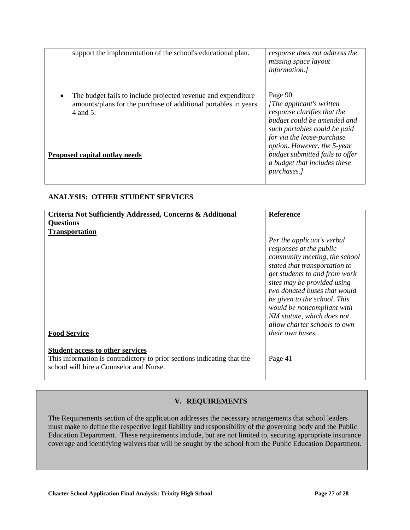| support the implementation of the school's educational plan.                                                                                                                         | response does not address the<br>missing space layout<br><i>information.]</i>                                                                                                                                                                                                     |
|--------------------------------------------------------------------------------------------------------------------------------------------------------------------------------------|-----------------------------------------------------------------------------------------------------------------------------------------------------------------------------------------------------------------------------------------------------------------------------------|
| The budget fails to include projected revenue and expenditure<br>amounts/plans for the purchase of additional portables in years<br>4 and 5.<br><b>Proposed capital outlay needs</b> | Page 90<br>[The applicant's written]<br>response clarifies that the<br>budget could be amended and<br>such portables could be paid<br>for via the lease-purchase<br>option. However, the 5-year<br>budget submitted fails to offer<br>a budget that includes these<br>purchases.] |

### **ANALYSIS: OTHER STUDENT SERVICES**

| Criteria Not Sufficiently Addressed, Concerns & Additional                                                                                                    | <b>Reference</b>                                                                                                                                                                                                                                          |
|---------------------------------------------------------------------------------------------------------------------------------------------------------------|-----------------------------------------------------------------------------------------------------------------------------------------------------------------------------------------------------------------------------------------------------------|
| <b>Questions</b><br><b>Transportation</b>                                                                                                                     | Per the applicant's verbal<br>responses at the public<br>community meeting, the school                                                                                                                                                                    |
|                                                                                                                                                               | stated that transportation to<br>get students to and from work<br>sites may be provided using<br>two donated buses that would<br>be given to the school. This<br>would be noncompliant with<br>NM statute, which does not<br>allow charter schools to own |
| <b>Food Service</b>                                                                                                                                           | their own buses.                                                                                                                                                                                                                                          |
| <b>Student access to other services</b><br>This information is contradictory to prior sections indicating that the<br>school will hire a Counselor and Nurse. | Page 41                                                                                                                                                                                                                                                   |

### **V. REQUIREMENTS**

The Requirements section of the application addresses the necessary arrangements that school leaders must make to define the respective legal liability and responsibility of the governing body and the Public Education Department. These requirements include, but are not limited to, securing appropriate insurance coverage and identifying waivers that will be sought by the school from the Public Education Department.